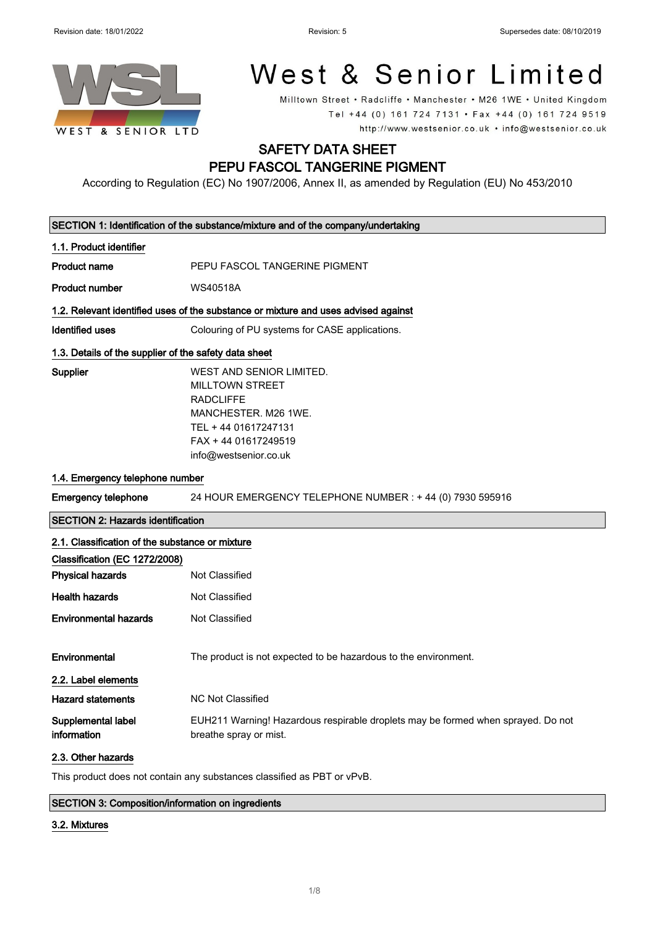1.1. Product identifier



# West & Senior Limited

Milltown Street • Radcliffe • Manchester • M26 1WE • United Kingdom Tel +44 (0) 161 724 7131 · Fax +44 (0) 161 724 9519 http://www.westsenior.co.uk · info@westsenior.co.uk

### SAFETY DATA SHEET PEPU FASCOL TANGERINE PIGMENT

According to Regulation (EC) No 1907/2006, Annex II, as amended by Regulation (EU) No 453/2010

| Product name    | PEPU FASCOL TANGERINE PIGMENT                                                                                   |
|-----------------|-----------------------------------------------------------------------------------------------------------------|
| Product number  | <b>WS40518A</b>                                                                                                 |
|                 | 1.2. Relevant identified uses of the substance or mixture and uses advised against                              |
| Identified uses | Colouring of PU systems for CASE applications.                                                                  |
|                 | 1.3. Details of the supplier of the safety data sheet                                                           |
| Supplier        | WEST AND SENIOR LIMITED.<br><b>MILLTOWN STREET</b><br>RADCLIFFF<br>MANCHESTER, M26 1WE.<br>TEL + 44 01617247131 |
|                 | FAX + 44 01617249519<br>info@westsenior.co.uk                                                                   |

SECTION 1: Identification of the substance/mixture and of the company/undertaking

#### 1.4. Emergency telephone number

Emergency telephone 24 HOUR EMERGENCY TELEPHONE NUMBER : + 44 (0) 7930 595916

SECTION 2: Hazards identification

| 2.1. Classification of the substance or mixture |                                                                                                            |
|-------------------------------------------------|------------------------------------------------------------------------------------------------------------|
| Classification (EC 1272/2008)                   |                                                                                                            |
| <b>Physical hazards</b>                         | Not Classified                                                                                             |
| <b>Health hazards</b>                           | Not Classified                                                                                             |
| <b>Environmental hazards</b>                    | Not Classified                                                                                             |
| Environmental                                   | The product is not expected to be hazardous to the environment.                                            |
| 2.2. Label elements                             |                                                                                                            |
| <b>Hazard statements</b>                        | NC Not Classified                                                                                          |
| Supplemental label<br>information               | EUH211 Warning! Hazardous respirable droplets may be formed when sprayed. Do not<br>breathe spray or mist. |

#### 2.3. Other hazards

This product does not contain any substances classified as PBT or vPvB.

#### SECTION 3: Composition/information on ingredients

#### 3.2. Mixtures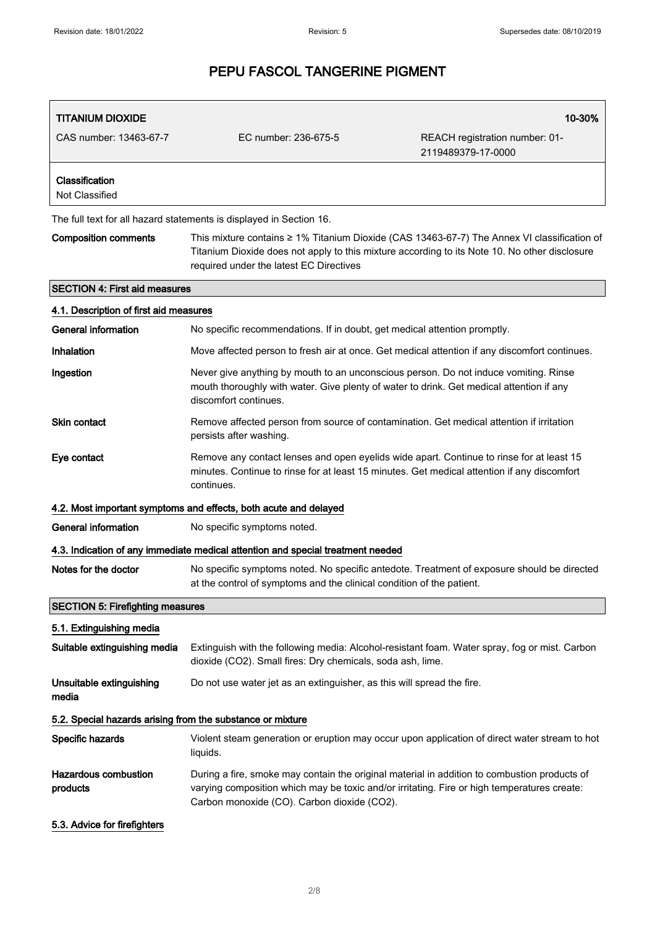| <b>TITANIUM DIOXIDE</b>                                    |                                                                                                                                                                                                                                            | 10-30%                                                                                                                                                                                       |
|------------------------------------------------------------|--------------------------------------------------------------------------------------------------------------------------------------------------------------------------------------------------------------------------------------------|----------------------------------------------------------------------------------------------------------------------------------------------------------------------------------------------|
| CAS number: 13463-67-7                                     | EC number: 236-675-5                                                                                                                                                                                                                       | REACH registration number: 01-<br>2119489379-17-0000                                                                                                                                         |
| Classification<br>Not Classified                           |                                                                                                                                                                                                                                            |                                                                                                                                                                                              |
|                                                            | The full text for all hazard statements is displayed in Section 16.                                                                                                                                                                        |                                                                                                                                                                                              |
| <b>Composition comments</b>                                | required under the latest EC Directives                                                                                                                                                                                                    | This mixture contains ≥ 1% Titanium Dioxide (CAS 13463-67-7) The Annex VI classification of<br>Titanium Dioxide does not apply to this mixture according to its Note 10. No other disclosure |
| <b>SECTION 4: First aid measures</b>                       |                                                                                                                                                                                                                                            |                                                                                                                                                                                              |
| 4.1. Description of first aid measures                     |                                                                                                                                                                                                                                            |                                                                                                                                                                                              |
| <b>General information</b>                                 | No specific recommendations. If in doubt, get medical attention promptly.                                                                                                                                                                  |                                                                                                                                                                                              |
| Inhalation                                                 | Move affected person to fresh air at once. Get medical attention if any discomfort continues.                                                                                                                                              |                                                                                                                                                                                              |
| Ingestion                                                  | Never give anything by mouth to an unconscious person. Do not induce vomiting. Rinse<br>mouth thoroughly with water. Give plenty of water to drink. Get medical attention if any<br>discomfort continues.                                  |                                                                                                                                                                                              |
| Skin contact                                               | Remove affected person from source of contamination. Get medical attention if irritation<br>persists after washing.                                                                                                                        |                                                                                                                                                                                              |
| Eye contact                                                | Remove any contact lenses and open eyelids wide apart. Continue to rinse for at least 15<br>minutes. Continue to rinse for at least 15 minutes. Get medical attention if any discomfort<br>continues.                                      |                                                                                                                                                                                              |
|                                                            | 4.2. Most important symptoms and effects, both acute and delayed                                                                                                                                                                           |                                                                                                                                                                                              |
| <b>General information</b>                                 | No specific symptoms noted.                                                                                                                                                                                                                |                                                                                                                                                                                              |
|                                                            | 4.3. Indication of any immediate medical attention and special treatment needed                                                                                                                                                            |                                                                                                                                                                                              |
| Notes for the doctor                                       | at the control of symptoms and the clinical condition of the patient.                                                                                                                                                                      | No specific symptoms noted. No specific antedote. Treatment of exposure should be directed                                                                                                   |
| <b>SECTION 5: Firefighting measures</b>                    |                                                                                                                                                                                                                                            |                                                                                                                                                                                              |
| 5.1. Extinguishing media                                   |                                                                                                                                                                                                                                            |                                                                                                                                                                                              |
| Suitable extinguishing media                               | dioxide (CO2). Small fires: Dry chemicals, soda ash, lime.                                                                                                                                                                                 | Extinguish with the following media: Alcohol-resistant foam. Water spray, fog or mist. Carbon                                                                                                |
| Unsuitable extinguishing<br>media                          | Do not use water jet as an extinguisher, as this will spread the fire.                                                                                                                                                                     |                                                                                                                                                                                              |
| 5.2. Special hazards arising from the substance or mixture |                                                                                                                                                                                                                                            |                                                                                                                                                                                              |
| Specific hazards                                           | liquids.                                                                                                                                                                                                                                   | Violent steam generation or eruption may occur upon application of direct water stream to hot                                                                                                |
| Hazardous combustion<br>products                           | During a fire, smoke may contain the original material in addition to combustion products of<br>varying composition which may be toxic and/or irritating. Fire or high temperatures create:<br>Carbon monoxide (CO). Carbon dioxide (CO2). |                                                                                                                                                                                              |
| 5.3. Advice for firefighters                               |                                                                                                                                                                                                                                            |                                                                                                                                                                                              |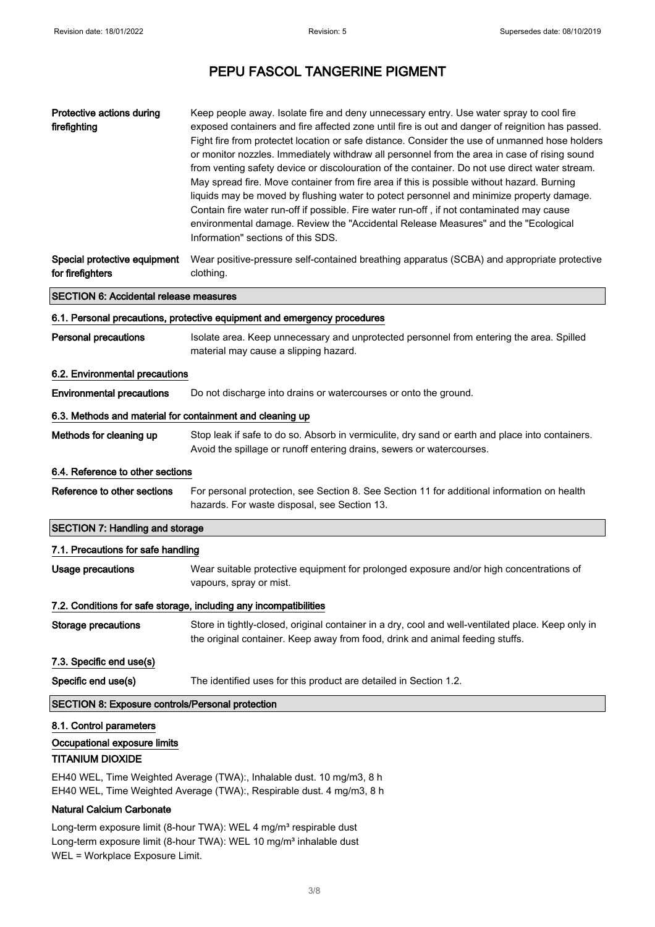| Protective actions during<br>firefighting                                          | Keep people away. Isolate fire and deny unnecessary entry. Use water spray to cool fire<br>exposed containers and fire affected zone until fire is out and danger of reignition has passed.<br>Fight fire from protectet location or safe distance. Consider the use of unmanned hose holders<br>or monitor nozzles. Immediately withdraw all personnel from the area in case of rising sound<br>from venting safety device or discolouration of the container. Do not use direct water stream.<br>May spread fire. Move container from fire area if this is possible without hazard. Burning<br>liquids may be moved by flushing water to potect personnel and minimize property damage.<br>Contain fire water run-off if possible. Fire water run-off, if not contaminated may cause<br>environmental damage. Review the "Accidental Release Measures" and the "Ecological<br>Information" sections of this SDS. |
|------------------------------------------------------------------------------------|--------------------------------------------------------------------------------------------------------------------------------------------------------------------------------------------------------------------------------------------------------------------------------------------------------------------------------------------------------------------------------------------------------------------------------------------------------------------------------------------------------------------------------------------------------------------------------------------------------------------------------------------------------------------------------------------------------------------------------------------------------------------------------------------------------------------------------------------------------------------------------------------------------------------|
| Special protective equipment<br>for firefighters                                   | Wear positive-pressure self-contained breathing apparatus (SCBA) and appropriate protective<br>clothing.                                                                                                                                                                                                                                                                                                                                                                                                                                                                                                                                                                                                                                                                                                                                                                                                           |
| <b>SECTION 6: Accidental release measures</b>                                      |                                                                                                                                                                                                                                                                                                                                                                                                                                                                                                                                                                                                                                                                                                                                                                                                                                                                                                                    |
|                                                                                    | 6.1. Personal precautions, protective equipment and emergency procedures                                                                                                                                                                                                                                                                                                                                                                                                                                                                                                                                                                                                                                                                                                                                                                                                                                           |
| <b>Personal precautions</b>                                                        | Isolate area. Keep unnecessary and unprotected personnel from entering the area. Spilled<br>material may cause a slipping hazard.                                                                                                                                                                                                                                                                                                                                                                                                                                                                                                                                                                                                                                                                                                                                                                                  |
| 6.2. Environmental precautions                                                     |                                                                                                                                                                                                                                                                                                                                                                                                                                                                                                                                                                                                                                                                                                                                                                                                                                                                                                                    |
| <b>Environmental precautions</b>                                                   | Do not discharge into drains or watercourses or onto the ground.                                                                                                                                                                                                                                                                                                                                                                                                                                                                                                                                                                                                                                                                                                                                                                                                                                                   |
| 6.3. Methods and material for containment and cleaning up                          |                                                                                                                                                                                                                                                                                                                                                                                                                                                                                                                                                                                                                                                                                                                                                                                                                                                                                                                    |
| Methods for cleaning up                                                            | Stop leak if safe to do so. Absorb in vermiculite, dry sand or earth and place into containers.<br>Avoid the spillage or runoff entering drains, sewers or watercourses.                                                                                                                                                                                                                                                                                                                                                                                                                                                                                                                                                                                                                                                                                                                                           |
| 6.4. Reference to other sections                                                   |                                                                                                                                                                                                                                                                                                                                                                                                                                                                                                                                                                                                                                                                                                                                                                                                                                                                                                                    |
| Reference to other sections                                                        | For personal protection, see Section 8. See Section 11 for additional information on health<br>hazards. For waste disposal, see Section 13.                                                                                                                                                                                                                                                                                                                                                                                                                                                                                                                                                                                                                                                                                                                                                                        |
| <b>SECTION 7: Handling and storage</b>                                             |                                                                                                                                                                                                                                                                                                                                                                                                                                                                                                                                                                                                                                                                                                                                                                                                                                                                                                                    |
| 7.1. Precautions for safe handling                                                 |                                                                                                                                                                                                                                                                                                                                                                                                                                                                                                                                                                                                                                                                                                                                                                                                                                                                                                                    |
| <b>Usage precautions</b>                                                           | Wear suitable protective equipment for prolonged exposure and/or high concentrations of<br>vapours, spray or mist.                                                                                                                                                                                                                                                                                                                                                                                                                                                                                                                                                                                                                                                                                                                                                                                                 |
|                                                                                    | 7.2. Conditions for safe storage, including any incompatibilities                                                                                                                                                                                                                                                                                                                                                                                                                                                                                                                                                                                                                                                                                                                                                                                                                                                  |
| <b>Storage precautions</b>                                                         | Store in tightly-closed, original container in a dry, cool and well-ventilated place. Keep only in<br>the original container. Keep away from food, drink and animal feeding stuffs.                                                                                                                                                                                                                                                                                                                                                                                                                                                                                                                                                                                                                                                                                                                                |
| 7.3. Specific end use(s)                                                           |                                                                                                                                                                                                                                                                                                                                                                                                                                                                                                                                                                                                                                                                                                                                                                                                                                                                                                                    |
| Specific end use(s)                                                                | The identified uses for this product are detailed in Section 1.2.                                                                                                                                                                                                                                                                                                                                                                                                                                                                                                                                                                                                                                                                                                                                                                                                                                                  |
| <b>SECTION 8: Exposure controls/Personal protection</b>                            |                                                                                                                                                                                                                                                                                                                                                                                                                                                                                                                                                                                                                                                                                                                                                                                                                                                                                                                    |
| 8.1. Control parameters<br>Occupational exposure limits<br><b>TITANIUM DIOXIDE</b> |                                                                                                                                                                                                                                                                                                                                                                                                                                                                                                                                                                                                                                                                                                                                                                                                                                                                                                                    |

EH40 WEL, Time Weighted Average (TWA):, Inhalable dust. 10 mg/m3, 8 h EH40 WEL, Time Weighted Average (TWA):, Respirable dust. 4 mg/m3, 8 h

#### Natural Calcium Carbonate

Long-term exposure limit (8-hour TWA): WEL 4 mg/m<sup>3</sup> respirable dust Long-term exposure limit (8-hour TWA): WEL 10 mg/m<sup>3</sup> inhalable dust WEL = Workplace Exposure Limit.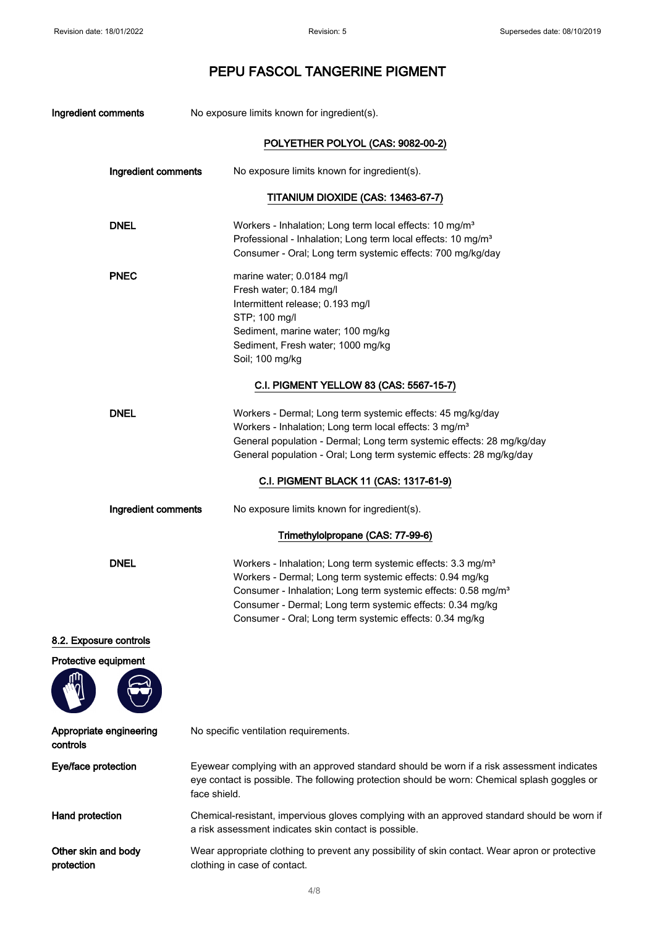| Ingredient comments                 | No exposure limits known for ingredient(s).                                                                                                                                                                                                                                                                                              |
|-------------------------------------|------------------------------------------------------------------------------------------------------------------------------------------------------------------------------------------------------------------------------------------------------------------------------------------------------------------------------------------|
|                                     | POLYETHER POLYOL (CAS: 9082-00-2)                                                                                                                                                                                                                                                                                                        |
| Ingredient comments                 | No exposure limits known for ingredient(s).                                                                                                                                                                                                                                                                                              |
|                                     | TITANIUM DIOXIDE (CAS: 13463-67-7)                                                                                                                                                                                                                                                                                                       |
| <b>DNEL</b>                         | Workers - Inhalation; Long term local effects: 10 mg/m <sup>3</sup><br>Professional - Inhalation; Long term local effects: 10 mg/m <sup>3</sup><br>Consumer - Oral; Long term systemic effects: 700 mg/kg/day                                                                                                                            |
| <b>PNEC</b>                         | marine water; 0.0184 mg/l<br>Fresh water; 0.184 mg/l<br>Intermittent release; 0.193 mg/l<br>STP; 100 mg/l<br>Sediment, marine water; 100 mg/kg<br>Sediment, Fresh water; 1000 mg/kg<br>Soil; 100 mg/kg                                                                                                                                   |
|                                     | C.I. PIGMENT YELLOW 83 (CAS: 5567-15-7)                                                                                                                                                                                                                                                                                                  |
| <b>DNEL</b>                         | Workers - Dermal; Long term systemic effects: 45 mg/kg/day<br>Workers - Inhalation; Long term local effects: 3 mg/m <sup>3</sup><br>General population - Dermal; Long term systemic effects: 28 mg/kg/day<br>General population - Oral; Long term systemic effects: 28 mg/kg/day                                                         |
|                                     | C.I. PIGMENT BLACK 11 (CAS: 1317-61-9)                                                                                                                                                                                                                                                                                                   |
| Ingredient comments                 | No exposure limits known for ingredient(s).                                                                                                                                                                                                                                                                                              |
|                                     | Trimethylolpropane (CAS: 77-99-6)                                                                                                                                                                                                                                                                                                        |
| <b>DNEL</b>                         | Workers - Inhalation; Long term systemic effects: 3.3 mg/m <sup>3</sup><br>Workers - Dermal; Long term systemic effects: 0.94 mg/kg<br>Consumer - Inhalation; Long term systemic effects: 0.58 mg/m <sup>3</sup><br>Consumer - Dermal; Long term systemic effects: 0.34 mg/kg<br>Consumer - Oral; Long term systemic effects: 0.34 mg/kg |
| 8.2. Exposure controls              |                                                                                                                                                                                                                                                                                                                                          |
| Protective equipment                |                                                                                                                                                                                                                                                                                                                                          |
| Appropriate engineering<br>controls | No specific ventilation requirements.                                                                                                                                                                                                                                                                                                    |
| Eye/face protection                 | Eyewear complying with an approved standard should be worn if a risk assessment indicates<br>eye contact is possible. The following protection should be worn: Chemical splash goggles or<br>face shield.                                                                                                                                |
| Hand protection                     | Chemical-resistant, impervious gloves complying with an approved standard should be worn if<br>a risk assessment indicates skin contact is possible.                                                                                                                                                                                     |
| Other skin and body<br>protection   | Wear appropriate clothing to prevent any possibility of skin contact. Wear apron or protective<br>clothing in case of contact.                                                                                                                                                                                                           |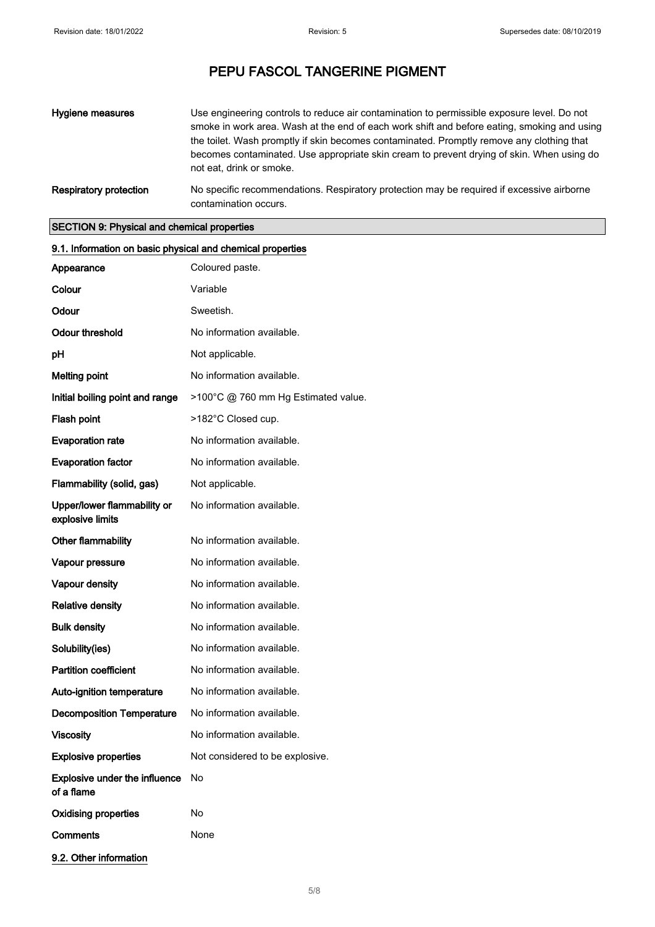| Hygiene measures       | Use engineering controls to reduce air contamination to permissible exposure level. Do not<br>smoke in work area. Wash at the end of each work shift and before eating, smoking and using<br>the toilet. Wash promptly if skin becomes contaminated. Promptly remove any clothing that<br>becomes contaminated. Use appropriate skin cream to prevent drying of skin. When using do<br>not eat, drink or smoke. |
|------------------------|-----------------------------------------------------------------------------------------------------------------------------------------------------------------------------------------------------------------------------------------------------------------------------------------------------------------------------------------------------------------------------------------------------------------|
| Respiratory protection | No specific recommendations. Respiratory protection may be required if excessive airborne<br>contamination occurs.                                                                                                                                                                                                                                                                                              |

### SECTION 9: Physical and chemical properties

| 9.1. Information on basic physical and chemical properties |                                     |
|------------------------------------------------------------|-------------------------------------|
| Appearance                                                 | Coloured paste.                     |
| Colour                                                     | Variable                            |
| Odour                                                      | Sweetish.                           |
| <b>Odour threshold</b>                                     | No information available.           |
| pH                                                         | Not applicable.                     |
| <b>Melting point</b>                                       | No information available.           |
| Initial boiling point and range                            | >100°C @ 760 mm Hg Estimated value. |
| Flash point                                                | >182°C Closed cup.                  |
| <b>Evaporation rate</b>                                    | No information available.           |
| <b>Evaporation factor</b>                                  | No information available.           |
| Flammability (solid, gas)                                  | Not applicable.                     |
| Upper/lower flammability or<br>explosive limits            | No information available.           |
| Other flammability                                         | No information available.           |
| Vapour pressure                                            | No information available.           |
| Vapour density                                             | No information available.           |
| <b>Relative density</b>                                    | No information available.           |
| <b>Bulk density</b>                                        | No information available.           |
| Solubility(ies)                                            | No information available.           |
| <b>Partition coefficient</b>                               | No information available.           |
| Auto-ignition temperature                                  | No information available.           |
| <b>Decomposition Temperature</b>                           | No information available.           |
| <b>Viscosity</b>                                           | No information available.           |
| <b>Explosive properties</b>                                | Not considered to be explosive.     |
| <b>Explosive under the influence</b><br>of a flame         | No                                  |
| <b>Oxidising properties</b>                                | No                                  |
| <b>Comments</b>                                            | None                                |
| 9.2. Other information                                     |                                     |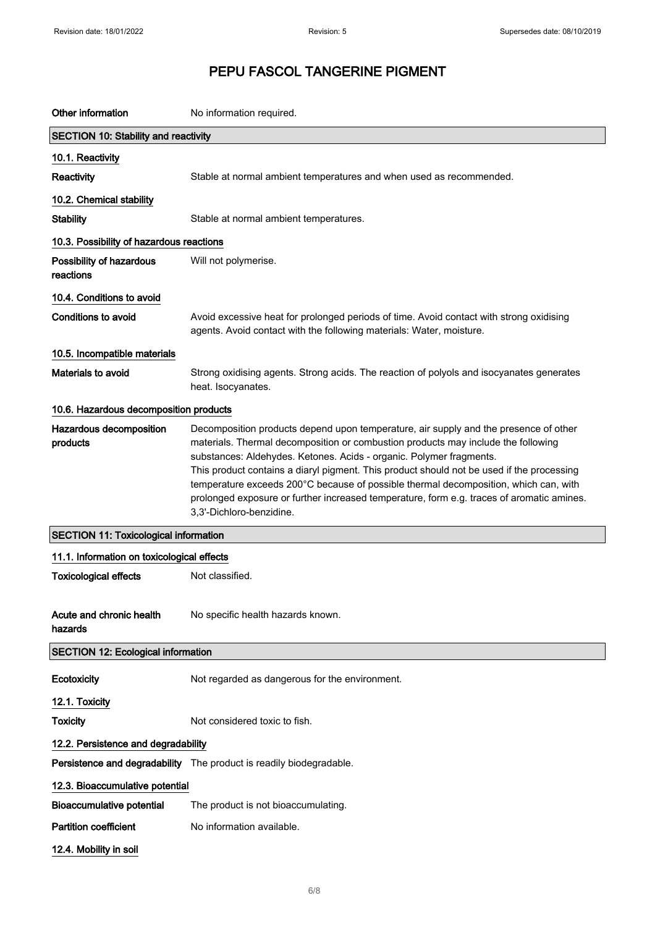| Other information                            | No information required.                                                                                                                                                                                                                                                                                                                                                                                                                                                                                                                                       |
|----------------------------------------------|----------------------------------------------------------------------------------------------------------------------------------------------------------------------------------------------------------------------------------------------------------------------------------------------------------------------------------------------------------------------------------------------------------------------------------------------------------------------------------------------------------------------------------------------------------------|
| <b>SECTION 10: Stability and reactivity</b>  |                                                                                                                                                                                                                                                                                                                                                                                                                                                                                                                                                                |
| 10.1. Reactivity                             |                                                                                                                                                                                                                                                                                                                                                                                                                                                                                                                                                                |
| Reactivity                                   | Stable at normal ambient temperatures and when used as recommended.                                                                                                                                                                                                                                                                                                                                                                                                                                                                                            |
| 10.2. Chemical stability                     |                                                                                                                                                                                                                                                                                                                                                                                                                                                                                                                                                                |
| <b>Stability</b>                             | Stable at normal ambient temperatures.                                                                                                                                                                                                                                                                                                                                                                                                                                                                                                                         |
| 10.3. Possibility of hazardous reactions     |                                                                                                                                                                                                                                                                                                                                                                                                                                                                                                                                                                |
| Possibility of hazardous<br>reactions        | Will not polymerise.                                                                                                                                                                                                                                                                                                                                                                                                                                                                                                                                           |
| 10.4. Conditions to avoid                    |                                                                                                                                                                                                                                                                                                                                                                                                                                                                                                                                                                |
| Conditions to avoid                          | Avoid excessive heat for prolonged periods of time. Avoid contact with strong oxidising<br>agents. Avoid contact with the following materials: Water, moisture.                                                                                                                                                                                                                                                                                                                                                                                                |
| 10.5. Incompatible materials                 |                                                                                                                                                                                                                                                                                                                                                                                                                                                                                                                                                                |
| Materials to avoid                           | Strong oxidising agents. Strong acids. The reaction of polyols and isocyanates generates<br>heat. Isocyanates.                                                                                                                                                                                                                                                                                                                                                                                                                                                 |
| 10.6. Hazardous decomposition products       |                                                                                                                                                                                                                                                                                                                                                                                                                                                                                                                                                                |
| Hazardous decomposition<br>products          | Decomposition products depend upon temperature, air supply and the presence of other<br>materials. Thermal decomposition or combustion products may include the following<br>substances: Aldehydes. Ketones. Acids - organic. Polymer fragments.<br>This product contains a diaryl pigment. This product should not be used if the processing<br>temperature exceeds 200°C because of possible thermal decomposition, which can, with<br>prolonged exposure or further increased temperature, form e.g. traces of aromatic amines.<br>3,3'-Dichloro-benzidine. |
| <b>SECTION 11: Toxicological information</b> |                                                                                                                                                                                                                                                                                                                                                                                                                                                                                                                                                                |
| 11.1. Information on toxicological effects   |                                                                                                                                                                                                                                                                                                                                                                                                                                                                                                                                                                |
| <b>Toxicological effects</b>                 | Not classified.                                                                                                                                                                                                                                                                                                                                                                                                                                                                                                                                                |
| Acute and chronic health<br>hazards          | No specific health hazards known.                                                                                                                                                                                                                                                                                                                                                                                                                                                                                                                              |
| <b>SECTION 12: Ecological information</b>    |                                                                                                                                                                                                                                                                                                                                                                                                                                                                                                                                                                |
| Ecotoxicity                                  | Not regarded as dangerous for the environment.                                                                                                                                                                                                                                                                                                                                                                                                                                                                                                                 |
| 12.1. Toxicity                               |                                                                                                                                                                                                                                                                                                                                                                                                                                                                                                                                                                |
| <b>Toxicity</b>                              | Not considered toxic to fish.                                                                                                                                                                                                                                                                                                                                                                                                                                                                                                                                  |
| 12.2. Persistence and degradability          |                                                                                                                                                                                                                                                                                                                                                                                                                                                                                                                                                                |
|                                              | Persistence and degradability The product is readily biodegradable.                                                                                                                                                                                                                                                                                                                                                                                                                                                                                            |
| 12.3. Bioaccumulative potential              |                                                                                                                                                                                                                                                                                                                                                                                                                                                                                                                                                                |
| <b>Bioaccumulative potential</b>             | The product is not bioaccumulating.                                                                                                                                                                                                                                                                                                                                                                                                                                                                                                                            |
| <b>Partition coefficient</b>                 | No information available.                                                                                                                                                                                                                                                                                                                                                                                                                                                                                                                                      |
| 12.4. Mobility in soil                       |                                                                                                                                                                                                                                                                                                                                                                                                                                                                                                                                                                |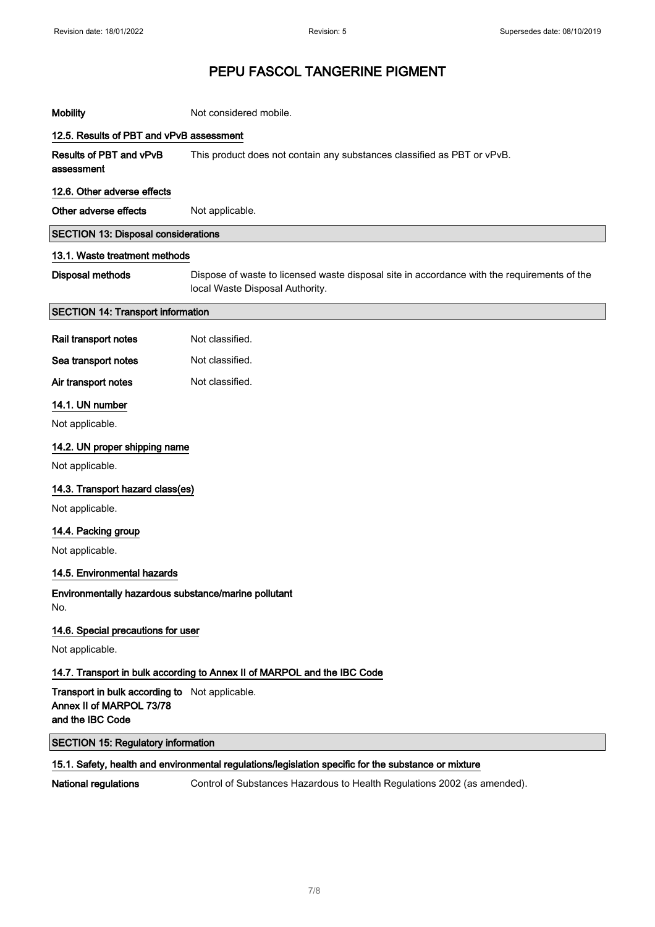| <b>Mobility</b>                                                                                | Not considered mobile.                                                                                                         |
|------------------------------------------------------------------------------------------------|--------------------------------------------------------------------------------------------------------------------------------|
| 12.5. Results of PBT and vPvB assessment                                                       |                                                                                                                                |
| Results of PBT and vPvB<br>assessment                                                          | This product does not contain any substances classified as PBT or vPvB.                                                        |
| 12.6. Other adverse effects                                                                    |                                                                                                                                |
| Other adverse effects                                                                          | Not applicable.                                                                                                                |
| <b>SECTION 13: Disposal considerations</b>                                                     |                                                                                                                                |
| 13.1. Waste treatment methods                                                                  |                                                                                                                                |
| <b>Disposal methods</b>                                                                        | Dispose of waste to licensed waste disposal site in accordance with the requirements of the<br>local Waste Disposal Authority. |
| <b>SECTION 14: Transport information</b>                                                       |                                                                                                                                |
| Rail transport notes                                                                           | Not classified.                                                                                                                |
| Sea transport notes                                                                            | Not classified.                                                                                                                |
| Air transport notes                                                                            | Not classified.                                                                                                                |
| 14.1. UN number                                                                                |                                                                                                                                |
| Not applicable.                                                                                |                                                                                                                                |
| 14.2. UN proper shipping name                                                                  |                                                                                                                                |
| Not applicable.                                                                                |                                                                                                                                |
| 14.3. Transport hazard class(es)                                                               |                                                                                                                                |
| Not applicable.                                                                                |                                                                                                                                |
| 14.4. Packing group                                                                            |                                                                                                                                |
| Not applicable.                                                                                |                                                                                                                                |
| 14.5. Environmental hazards                                                                    |                                                                                                                                |
| Environmentally hazardous substance/marine pollutant<br>No.                                    |                                                                                                                                |
| 14.6. Special precautions for user                                                             |                                                                                                                                |
| Not applicable.                                                                                |                                                                                                                                |
|                                                                                                | 14.7. Transport in bulk according to Annex II of MARPOL and the IBC Code                                                       |
| Transport in bulk according to Not applicable.<br>Annex II of MARPOL 73/78<br>and the IBC Code |                                                                                                                                |
| <b>SECTION 15: Regulatory information</b>                                                      |                                                                                                                                |
|                                                                                                | 15.1. Safety, health and environmental regulations/legislation specific for the substance or mixture                           |
| National regulations                                                                           | Control of Substances Hazardous to Health Regulations 2002 (as amended).                                                       |